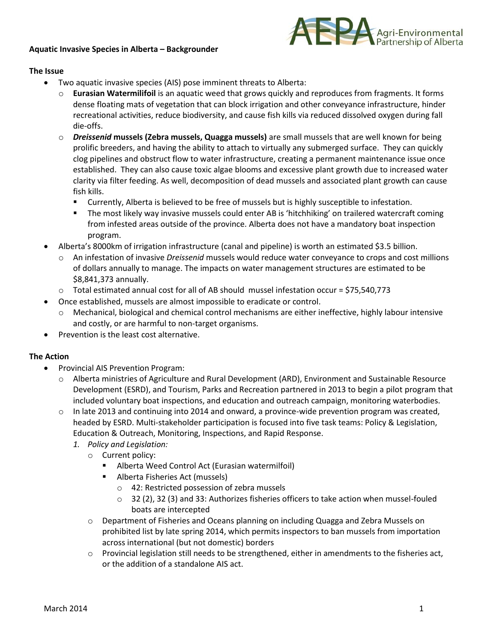## **Aquatic Invasive Species in Alberta – Backgrounder**



## **The Issue**

- Two aquatic invasive species (AIS) pose imminent threats to Alberta:
	- o **Eurasian Watermilifoil** is an aquatic weed that grows quickly and reproduces from fragments. It forms dense floating mats of vegetation that can block irrigation and other conveyance infrastructure, hinder recreational activities, reduce biodiversity, and cause fish kills via reduced dissolved oxygen during fall die-offs.
	- o *Dreissenid* **mussels (Zebra mussels, Quagga mussels)** are small mussels that are well known for being prolific breeders, and having the ability to attach to virtually any submerged surface. They can quickly clog pipelines and obstruct flow to water infrastructure, creating a permanent maintenance issue once established. They can also cause toxic algae blooms and excessive plant growth due to increased water clarity via filter feeding. As well, decomposition of dead mussels and associated plant growth can cause fish kills.
		- Currently, Alberta is believed to be free of mussels but is highly susceptible to infestation.
		- The most likely way invasive mussels could enter AB is 'hitchhiking' on trailered watercraft coming from infested areas outside of the province. Alberta does not have a mandatory boat inspection program.
- Alberta's 8000km of irrigation infrastructure (canal and pipeline) is worth an estimated \$3.5 billion.
	- o An infestation of invasive *Dreissenid* mussels would reduce water conveyance to crops and cost millions of dollars annually to manage. The impacts on water management structures are estimated to be \$8,841,373 annually.
	- o Total estimated annual cost for all of AB should mussel infestation occur = \$75,540,773
- Once established, mussels are almost impossible to eradicate or control.
	- o Mechanical, biological and chemical control mechanisms are either ineffective, highly labour intensive and costly, or are harmful to non-target organisms.
- Prevention is the least cost alternative.

## **The Action**

- Provincial AIS Prevention Program:
	- o Alberta ministries of Agriculture and Rural Development (ARD), Environment and Sustainable Resource Development (ESRD), and Tourism, Parks and Recreation partnered in 2013 to begin a pilot program that included voluntary boat inspections, and education and outreach campaign, monitoring waterbodies.
	- $\circ$  In late 2013 and continuing into 2014 and onward, a province-wide prevention program was created, headed by ESRD. Multi-stakeholder participation is focused into five task teams: Policy & Legislation, Education & Outreach, Monitoring, Inspections, and Rapid Response.
		- *1. Policy and Legislation:*
			- o Current policy:
				- Alberta Weed Control Act (Eurasian watermilfoil)
				- **Alberta Fisheries Act (mussels)** 
					- o 42: Restricted possession of zebra mussels
					- $\circ$  32 (2), 32 (3) and 33: Authorizes fisheries officers to take action when mussel-fouled boats are intercepted
			- o Department of Fisheries and Oceans planning on including Quagga and Zebra Mussels on prohibited list by late spring 2014, which permits inspectors to ban mussels from importation across international (but not domestic) borders
			- $\circ$  Provincial legislation still needs to be strengthened, either in amendments to the fisheries act, or the addition of a standalone AIS act.